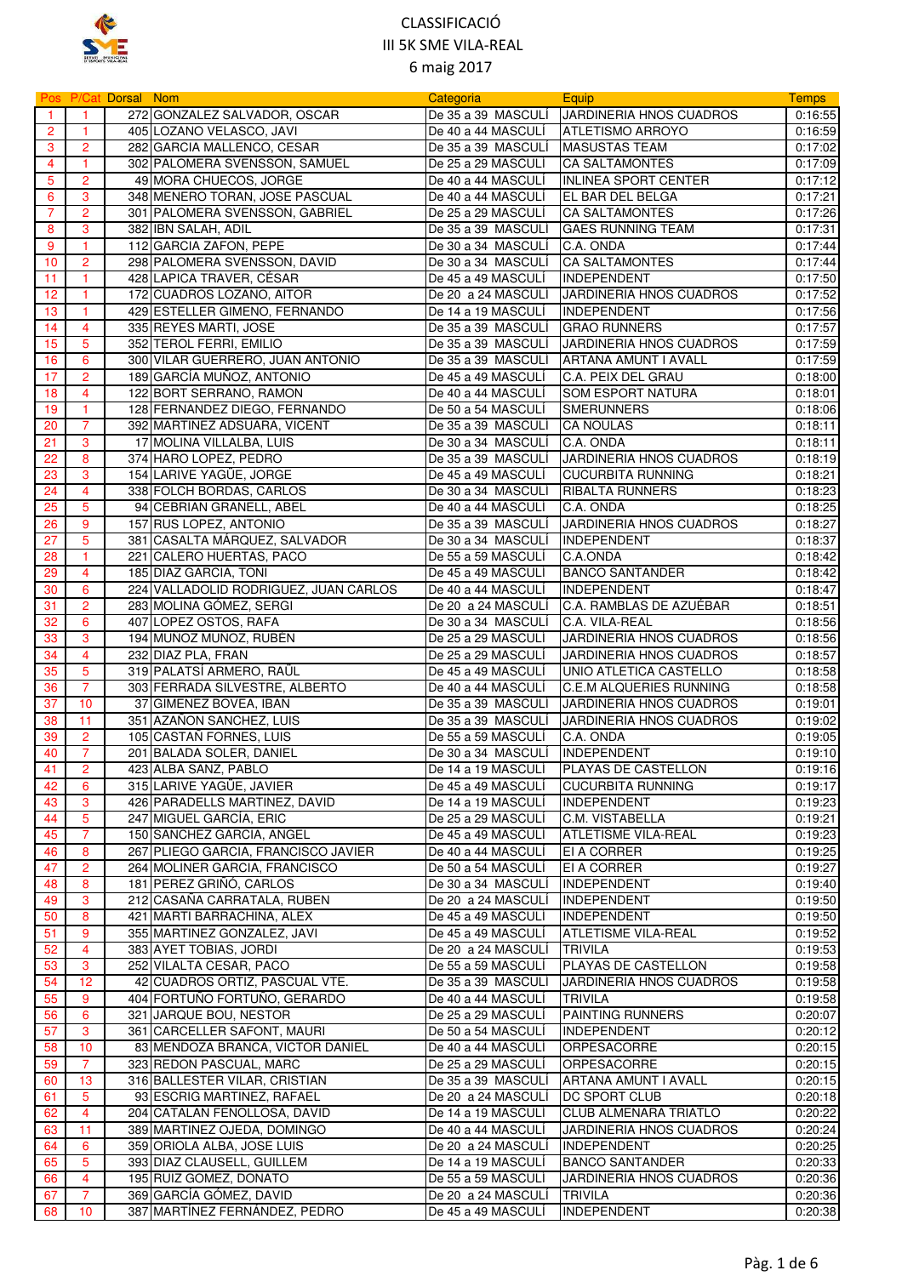

|                |                         | Pos P/Cat Dorsal Nom |                                                        | Categoria                                | Equip                                              | <b>Temps</b>       |
|----------------|-------------------------|----------------------|--------------------------------------------------------|------------------------------------------|----------------------------------------------------|--------------------|
| $\overline{1}$ |                         |                      | 272 GONZALEZ SALVADOR, OSCAR                           | De 35 a 39 MASCULÍ                       | JARDINERIA HNOS CUADROS                            | 0:16:55            |
| $\overline{2}$ | $\mathbf{1}$            |                      | 405 LOZANO VELASCO, JAVI                               | De 40 a 44 MASCULÍ                       | <b>ATLETISMO ARROYO</b>                            | 0:16:59            |
| 3              | $\overline{2}$          |                      | 282 GARCIA MALLENCO, CESAR                             | De 35 a 39 MASCULÍ                       | <b>MASUSTAS TEAM</b>                               | 0:17:02            |
| 4              | $\mathbf{1}$            |                      | 302 PALOMERA SVENSSON, SAMUEL                          | De 25 a 29 MASCULÍ                       | <b>CA SALTAMONTES</b>                              | 0:17:09            |
| 5              | 2                       |                      | 49 MORA CHUECOS, JORGE                                 | De 40 a 44 MASCULI                       | INLINEA SPORT CENTER                               | 0:17:12            |
| 6              | 3                       |                      | 348 MENERO TORAN, JOSE PASCUAL                         | De 40 a 44 MASCULÍ                       | EL BAR DEL BELGA                                   | 0:17:21            |
| $\overline{7}$ | $\overline{2}$          |                      | 301 PALOMERA SVENSSON, GABRIEL                         | De 25 a 29 MASCULÍ                       | <b>CA SALTAMONTES</b>                              | 0:17:26            |
| 8              | 3                       |                      | 382 IBN SALAH, ADIL                                    | De 35 a 39 MASCULI                       | <b>GAES RUNNING TEAM</b>                           | 0:17:31            |
| 9              | 1                       |                      | 112 GARCIA ZAFON, PEPE                                 | De 30 a 34 MASCULÍ                       | C.A. ONDA                                          | 0:17:44            |
| 10             | $\overline{2}$          |                      | 298 PALOMERA SVENSSON, DAVID                           | De 30 a 34 MASCULI                       | <b>CA SALTAMONTES</b>                              | 0:17:44            |
| 11             | $\mathbf{1}$            |                      | 428 LAPICA TRAVER, CÉSAR                               | De 45 a 49 MASCULÍ                       | INDEPENDENT                                        | 0:17:50            |
| 12             | 1                       |                      | 172 CUADROS LOZANO, AITOR                              | De 20 a 24 MASCULÍ                       | <b>JARDINERIA HNOS CUADROS</b>                     | 0:17:52            |
| 13             | $\mathbf{1}$            |                      | 429 ESTELLER GIMENO, FERNANDO                          | De 14 a 19 MASCULI                       | <b>INDEPENDENT</b>                                 | 0:17:56            |
| 14             | 4                       |                      | 335 REYES MARTI, JOSE                                  | De 35 a 39 MASCULI                       | <b>GRAO RUNNERS</b>                                | 0:17:57            |
| 15             | 5                       |                      | 352 TEROL FERRI, EMILIO                                | De 35 a 39 MASCULI                       | <b>JARDINERIA HNOS CUADROS</b>                     | 0:17:59            |
| 16             | 6                       |                      | 300 VILAR GUERRERO, JUAN ANTONIO                       | De 35 a 39 MASCULÍ                       | ARTANA AMUNT I AVALL                               | 0:17:59            |
| 17             | $\overline{2}$          |                      | 189 GARCÍA MUÑOZ, ANTONIO                              | De 45 a 49 MASCULÍ                       | C.A. PEIX DEL GRAU                                 | 0:18:00            |
| 18             | $\overline{\mathbf{4}}$ |                      | 122 BORT SERRANO, RAMON                                | De 40 a 44 MASCULI                       | <b>SOM ESPORT NATURA</b>                           | 0:18:01            |
| 19             | 1                       |                      | 128 FERNANDEZ DIEGO, FERNANDO                          | De 50 a 54 MASCULÍ                       | <b>SMERUNNERS</b>                                  | 0:18:06            |
| 20             | 7                       |                      | 392 MARTINEZ ADSUARA, VICENT                           | De 35 a 39 MASCULI                       | <b>CA NOULAS</b>                                   | 0:18:11            |
| 21             | 3                       |                      | 17 MOLINA VILLALBA, LUIS                               | De 30 a 34 MASCULÍ                       | C.A. ONDA                                          | 0:18:11            |
| 22             | 8                       |                      | 374 HARO LOPEZ, PEDRO                                  | De 35 a 39 MASCULÍ                       | JARDINERIA HNOS CUADROS                            | 0:18:19            |
| 23             | 3                       |                      | 154 LARIVE YAGÜE, JORGE                                | De 45 a 49 MASCULI                       | <b>CUCURBITA RUNNING</b>                           | 0:18:21            |
| 24             | $\overline{\mathbf{4}}$ |                      | 338 FOLCH BORDAS, CARLOS                               | De 30 a 34 MASCULÍ                       | <b>RIBALTA RUNNERS</b>                             | 0:18:23            |
| 25             | 5                       |                      | 94 CEBRIAN GRANELL, ABEL                               | De 40 a 44 MASCULI                       | C.A. ONDA                                          | 0:18:25            |
| 26             | 9                       |                      | 157 RUS LOPEZ, ANTONIO                                 | De 35 a 39 MASCULÍ                       | JARDINERIA HNOS CUADROS                            | 0:18:27            |
| 27             | 5                       |                      | 381 CASALTA MÁRQUEZ, SALVADOR                          | De 30 a 34 MASCULI                       | <b>INDEPENDENT</b>                                 | 0:18:37            |
| 28             | 1                       |                      | 221 CALERO HUERTAS, PACO                               | De 55 a 59 MASCULI                       | C.A.ONDA                                           | 0:18:42            |
| 29             | 4                       |                      | 185 DIAZ GARCIA, TONI                                  | De 45 a 49 MASCULI                       | <b>BANCO SANTANDER</b>                             | 0:18:42            |
| 30             | 6                       |                      | 224 VALLADOLID RODRIGUEZ, JUAN CARLOS                  | De 40 a 44 MASCULI                       | <b>INDEPENDENT</b>                                 | 0:18:47            |
| 31             | $\overline{2}$          |                      | 283 MOLINA GÓMEZ, SERGI                                | De 20 a 24 MASCULI                       | C.A. RAMBLAS DE AZUÉBAR                            | 0:18:51            |
| 32             | 6<br>3                  |                      | 407 LOPEZ OSTOS, RAFA                                  | De 30 a 34 MASCULÍ<br>De 25 a 29 MASCULÍ | C.A. VILA-REAL                                     | 0:18:56            |
| 33<br>34       | 4                       |                      | 194 MUÑOZ MUÑOZ, RUBÉN<br>232 DIAZ PLA, FRAN           | De 25 a 29 MASCULÍ                       | JARDINERIA HNOS CUADROS<br>JARDINERIA HNOS CUADROS | 0:18:56<br>0:18:57 |
| 35             | 5                       |                      | 319 PALATSÍ ARMERO, RAÜL                               | De 45 a 49 MASCULI                       | UNIO ATLETICA CASTELLO                             | 0:18:58            |
| 36             | $\overline{7}$          |                      | 303 FERRADA SILVESTRE, ALBERTO                         | De 40 a 44 MASCULI                       | C.E.M ALQUERIES RUNNING                            | 0:18:58            |
| 37             | 10                      |                      | 37 GIMENEZ BOVEA, IBAN                                 | De 35 a 39 MASCULÍ                       | JARDINERIA HNOS CUADROS                            | 0:19:01            |
| 38             | 11                      |                      | 351 AZAÑON SANCHEZ, LUIS                               | De 35 a 39 MASCULI                       | JARDINERIA HNOS CUADROS                            | 0:19:02            |
| 39             | $\overline{2}$          |                      | 105 CASTAÑ FORNES, LUIS                                | De 55 a 59 MASCULÍ                       | C.A. ONDA                                          | 0:19:05            |
| 40             | $\overline{7}$          |                      | 201 BALADA SOLER, DANIEL                               | De 30 a 34 MASCULI                       | <b>INDEPENDENT</b>                                 | 0:19:10            |
| 41             | $\overline{2}$          |                      | 423 ALBA SANZ, PABLO                                   | De 14 a 19 MASCULÍ                       | <b>PLAYAS DE CASTELLON</b>                         | 0:19:16            |
| 42             | 6                       |                      | 315 LARIVE YAGÜE, JAVIER                               | De 45 a 49 MASCULI                       | <b>CUCURBITA RUNNING</b>                           | 0:19:17            |
| 43             | 3                       |                      | 426 PARADELLS MARTINEZ, DAVID                          | De 14 a 19 MASCULI                       | <b>INDEPENDENT</b>                                 | 0:19:23            |
| 44             | 5                       |                      | 247 MIGUEL GARCÍA, ERIC                                | De 25 a 29 MASCULI                       | C.M. VISTABELLA                                    | 0:19:21            |
| 45             | 7                       |                      | 150 SANCHEZ GARCIA, ANGEL                              | De 45 a 49 MASCULI                       | <b>ATLETISME VILA-REAL</b>                         | 0:19:23            |
| 46             | 8                       |                      | 267 PLIEGO GARCIA, FRANCISCO JAVIER                    | De 40 a 44 MASCULI                       | <b>EI A CORRER</b>                                 | 0:19:25            |
| 47             | $\overline{2}$          |                      | 264 MOLINER GARCIA, FRANCISCO                          | De 50 a 54 MASCULI                       | EI A CORRER                                        | 0:19:27            |
| 48             | 8                       |                      | 181 PEREZ GRIÑÓ, CARLOS                                | De 30 a 34 MASCULI                       | INDEPENDENT                                        | 0:19:40            |
| 49             | 3                       |                      | 212 CASAÑA CARRATALA, RUBEN                            | De 20 a 24 MASCULÍ                       | <b>INDEPENDENT</b>                                 | 0:19:50            |
| 50             | 8                       |                      | 421 MARTI BARRACHINA, ALEX                             | De 45 a 49 MASCULI                       | <b>INDEPENDENT</b>                                 | 0:19:50            |
| 51             | 9                       |                      | 355 MARTINEZ GONZALEZ, JAVI                            | De 45 a 49 MASCULI                       | <b>ATLETISME VILA-REAL</b>                         | 0:19:52            |
| 52             | 4                       |                      | 383 AYET TOBIAS, JORDI                                 | De 20  a 24 MASCULI                      | TRIVILA                                            | 0:19:53            |
| 53             | 3                       |                      | 252 VILALTA CESAR, PACO                                | De 55 a 59 MASCULI                       | PLAYAS DE CASTELLON                                | 0:19:58            |
| 54             | 12<br>9                 |                      | 42 CUADROS ORTIZ, PASCUAL VTE.                         | De 35 a 39 MASCULI                       | JARDINERIA HNOS CUADROS<br><b>TRIVILA</b>          | 0:19:58            |
| 55<br>56       | 6                       |                      | 404 FORTUÑO FORTUÑO, GERARDO<br>321 JARQUE BOU, NESTOR | De 40 a 44 MASCULI<br>De 25 a 29 MASCULI | PAINTING RUNNERS                                   | 0:19:58<br>0:20:07 |
| 57             | 3                       |                      | 361 CARCELLER SAFONT, MAURI                            | De 50 a 54 MASCULI                       | <b>INDEPENDENT</b>                                 | 0:20:12            |
| 58             | 10                      |                      | 83 MENDOZA BRANCA, VICTOR DANIEL                       | De 40 a 44 MASCULI                       | ORPESACORRE                                        | 0:20:15            |
| 59             | 7                       |                      | 323 REDON PASCUAL, MARC                                | De 25 a 29 MASCULÍ                       | ORPESACORRE                                        | 0:20:15            |
| 60             | 13                      |                      | 316 BALLESTER VILAR, CRISTIAN                          | De 35 a 39 MASCULI                       | ARTANA AMUNT I AVALL                               | 0:20:15            |
| 61             | 5                       |                      | 93 ESCRIG MARTINEZ, RAFAEL                             | De 20 a 24 MASCULI                       | <b>DC SPORT CLUB</b>                               | 0:20:18            |
| 62             | 4                       |                      | 204 CATALAN FENOLLOSA, DAVID                           | De 14 a 19 MASCULI                       | <b>CLUB ALMENARA TRIATLO</b>                       | 0:20:22            |
| 63             | 11                      |                      | 389 MARTINEZ OJEDA, DOMINGO                            | De 40 a 44 MASCULI                       | JARDINERIA HNOS CUADROS                            | 0:20:24            |
| 64             | 6                       |                      | 359 ORIOLA ALBA, JOSE LUIS                             | De 20 a 24 MASCULI                       | <b>INDEPENDENT</b>                                 | 0:20:25            |
| 65             | 5                       |                      | 393 DIAZ CLAUSELL, GUILLEM                             | De 14 a 19 MASCULI                       | <b>BANCO SANTANDER</b>                             | 0:20:33            |
| 66             | 4                       |                      | 195 RUIZ GOMEZ, DONATO                                 | De 55 a 59 MASCULÍ                       | JARDINERIA HNOS CUADROS                            | 0:20:36            |
| 67             | 7                       |                      | 369 GARCÍA GÓMEZ, DAVID                                | De 20 a 24 MASCULI                       | <b>TRIVILA</b>                                     | 0:20:36            |
| 68             | 10                      |                      | 387 MARTÍNEZ FERNÁNDEZ, PEDRO                          | De 45 a 49 MASCULI                       | <b>INDEPENDENT</b>                                 | 0:20:38            |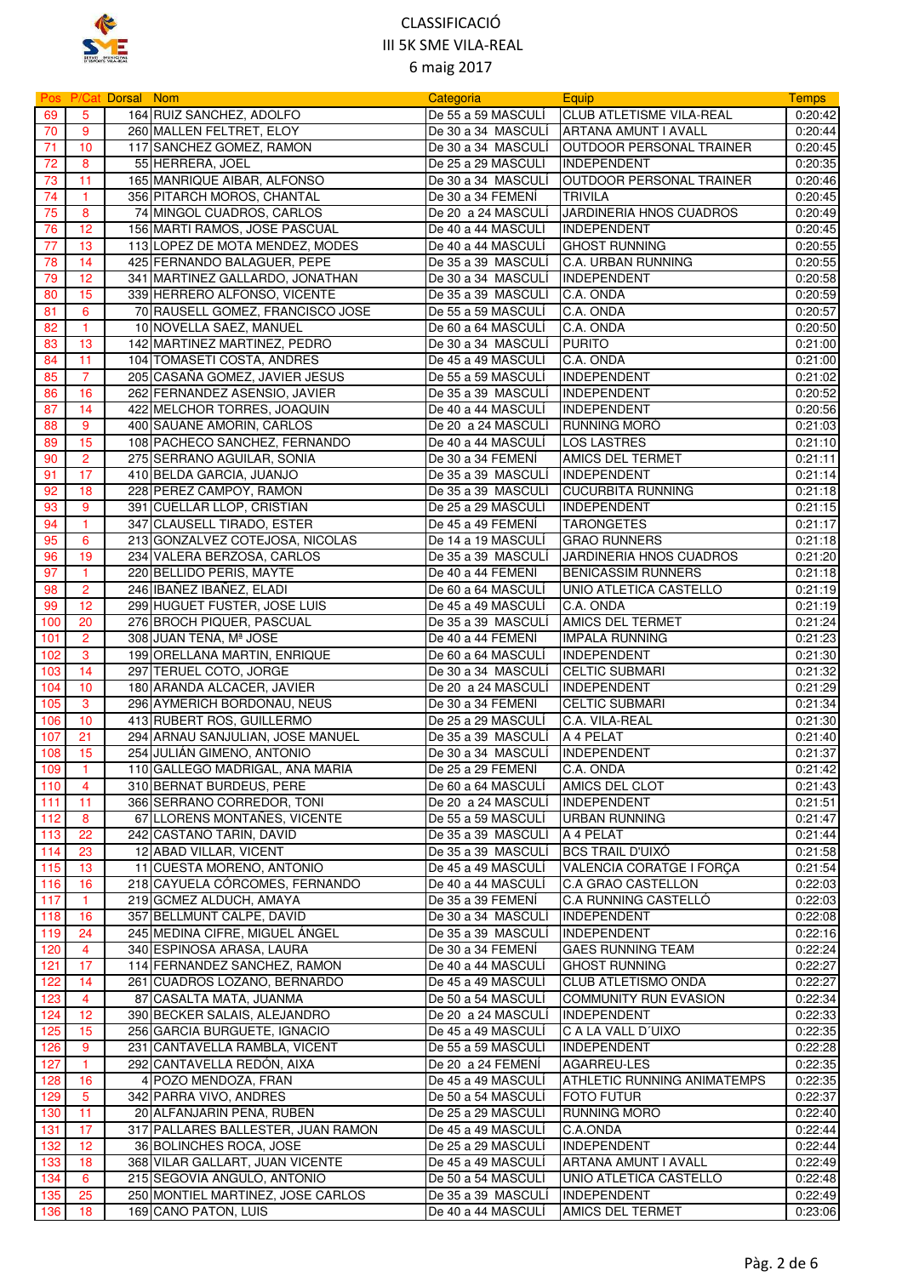

|     |                | Pos P/Cat Dorsal Nom |                                                          | Categoria                               | <b>Equip</b>                     | <b>Temps</b> |
|-----|----------------|----------------------|----------------------------------------------------------|-----------------------------------------|----------------------------------|--------------|
| 69  | 5              |                      | 164 RUIZ SANCHEZ, ADOLFO                                 | De 55 a 59 MASCULÍ                      | <b>CLUB ATLETISME VILA-REAL</b>  | 0:20:42      |
| 70  | 9              |                      | 260 MALLEN FELTRET, ELOY                                 | De 30 a 34 MASCULÍ                      | ARTANA AMUNT I AVALL             | 0:20:44      |
| 71  | 10             |                      | 117 SANCHEZ GOMEZ, RAMON                                 | De 30 a 34 MASCULÍ                      | <b>JOUTDOOR PERSONAL TRAINER</b> | 0:20:45      |
| 72  | 8              |                      | 55 HERRERA, JOEL                                         | De 25 a 29 MASCULI                      | <b>INDEPENDENT</b>               | 0:20:35      |
| 73  | 11             |                      | 165 MANRIQUE AIBAR, ALFONSO                              | De 30 a 34 MASCULÍ                      | OUTDOOR PERSONAL TRAINER         | 0:20:46      |
| 74  | $\vert$ 1      |                      | 356 PITARCH MOROS, CHANTAL                               | De 30 a 34 FEMENÍ                       | <b>TRIVILA</b>                   | 0:20:45      |
| 75  | 8              |                      | 74 MINGOL CUADROS, CARLOS                                | De 20 a 24 MASCULI                      | JARDINERIA HNOS CUADROS          | 0:20:49      |
| 76  | 12             |                      | 156 MARTI RAMOS, JOSE PASCUAL                            | De 40 a 44 MASCULÍ                      | <b>INDEPENDENT</b>               | 0:20:45      |
| 77  | 13             |                      | 113 LOPEZ DE MOTA MENDEZ, MODES                          | De 40 a 44 MASCULI                      | <b>GHOST RUNNING</b>             | 0:20:55      |
| 78  | 14             |                      | 425 FERNANDO BALAGUER, PEPE                              | De 35 a 39 MASCULÍ                      | C.A. URBAN RUNNING               | 0:20:55      |
| 79  | 12             |                      | 341 MARTINEZ GALLARDO, JONATHAN                          | De 30 a 34 MASCULÍ                      | <b>INDEPENDENT</b>               | 0:20:58      |
| 80  | 15             |                      | 339 HERRERO ALFONSO, VICENTE                             | De 35 a 39 MASCULÍ                      | C.A. ONDA                        | 0:20:59      |
| 81  | 6              |                      | 70 RAUSELL GOMEZ, FRANCISCO JOSE                         | De 55 a 59 MASCULÍ                      | C.A. ONDA                        | 0:20:57      |
| 82  | $\mathbf{1}$   |                      | 10 NOVELLA SAEZ, MANUEL                                  | De 60 a 64 MASCULI                      | C.A. ONDA                        | 0:20:50      |
| 83  | 13             |                      | 142 MARTINEZ MARTINEZ, PEDRO                             | De 30 a 34 MASCULI                      | <b>PURITO</b>                    | 0:21:00      |
| 84  | 11             |                      | 104 TOMASETI COSTA, ANDRES                               | De 45 a 49 MASCULÍ                      | C.A. ONDA                        | 0:21:00      |
| 85  | 7              |                      | 205 CASAÑA GOMEZ, JAVIER JESUS                           | De 55 a 59 MASCULÍ                      | <b>INDEPENDENT</b>               | 0:21:02      |
| 86  | 16             |                      | 262 FERNANDEZ ASENSIO, JAVIER                            | De 35 a 39 MASCULI                      | <b>INDEPENDENT</b>               | 0:20:52      |
| 87  | 14             |                      | 422 MELCHOR TORRES, JOAQUIN                              | De 40 a 44 MASCULI                      | INDEPENDENT                      | 0:20:56      |
| 88  | 9              |                      | 400 SAUANE AMORIN, CARLOS                                | De 20 a 24 MASCULÍ                      | <b>RUNNING MORO</b>              | 0:21:03      |
| 89  | 15             |                      | 108 PACHECO SANCHEZ, FERNANDO                            | De 40 a 44 MASCULÍ                      | <b>LOS LASTRES</b>               | 0:21:10      |
| 90  | $\overline{2}$ |                      | 275 SERRANO AGUILAR, SONIA                               | De 30 a 34 FEMENÍ                       | <b>AMICS DEL TERMET</b>          | 0:21:11      |
| 91  | 17             |                      | 410 BELDA GARCIA, JUANJO                                 | De 35 a 39 MASCULI                      | <b>INDEPENDENT</b>               | 0:21:14      |
| 92  | 18             |                      | 228 PEREZ CAMPOY, RAMON                                  | De 35 a 39 MASCULÍ                      | <b>CUCURBITA RUNNING</b>         | 0:21:18      |
|     | 9              |                      |                                                          |                                         |                                  | 0:21:15      |
| 93  |                |                      | 391 CUELLAR LLOP, CRISTIAN<br>347 CLAUSELL TIRADO, ESTER | De 25 a 29 MASCULI<br>De 45 a 49 FEMENÍ | <b>INDEPENDENT</b>               | 0:21:17      |
| 94  | $\mathbf{1}$   |                      |                                                          |                                         | <b>TARONGETES</b>                |              |
| 95  | 6              |                      | 213 GONZALVEZ COTEJOSA, NICOLAS                          | De 14 a 19 MASCULI                      | <b>GRAO RUNNERS</b>              | 0:21:18      |
| 96  | 19             |                      | 234 VALERA BERZOSA, CARLOS                               | De 35 a 39 MASCULI                      | JARDINERIA HNOS CUADROS          | 0:21:20      |
| 97  | $\mathbf{1}$   |                      | 220 BELLIDO PERIS, MAYTE                                 | De 40 a 44 FEMENI                       | <b>BENICASSIM RUNNERS</b>        | 0:21:18      |
| 98  | $\overline{2}$ |                      | 246 IBAÑEZ IBAÑEZ, ELADI                                 | De 60 a 64 MASCULI                      | UNIO ATLETICA CASTELLO           | 0:21:19      |
| 99  | 12             |                      | 299 HUGUET FUSTER, JOSE LUIS                             | De 45 a 49 MASCULÍ                      | C.A. ONDA                        | 0:21:19      |
| 100 | 20             |                      | 276 BROCH PIQUER, PASCUAL                                | De 35 a 39 MASCULI                      | <b>AMICS DEL TERMET</b>          | 0:21:24      |
| 101 | $\overline{2}$ |                      | 308 JUAN TENA, Mª JOSE                                   | De 40 a 44 FEMENI                       | <b>IMPALA RUNNING</b>            | 0:21:23      |
| 102 | 3              |                      | 199 ORELLANA MARTIN, ENRIQUE                             | De 60 a 64 MASCULÍ                      | <b>INDEPENDENT</b>               | 0:21:30      |
| 103 | 14             |                      | 297 TERUEL COTO, JORGE                                   | De 30 a 34 MASCULI                      | <b>CELTIC SUBMARI</b>            | 0:21:32      |
| 104 | 10             |                      | 180 ARANDA ALCACER, JAVIER                               | De 20 a 24 MASCULI                      | INDEPENDENT                      | 0:21:29      |
| 105 | 3              |                      | 296 AYMERICH BORDONAU, NEUS                              | De 30 a 34 FEMENI                       | <b>CELTIC SUBMARI</b>            | 0:21:34      |
| 106 | 10             |                      | 413 RUBERT ROS, GUILLERMO                                | De 25 a 29 MASCULÍ                      | C.A. VILA-REAL                   | 0:21:30      |
| 107 | 21             |                      | 294 ARNAU SANJULIAN, JOSE MANUEL                         | De 35 a 39 MASCULI                      | A 4 PELAT                        | 0:21:40      |
| 108 | 15             |                      | 254 JULIÁN GIMENO, ANTONIO                               | De 30 a 34 MASCULÍ                      | INDEPENDENT                      | 0:21:37      |
| 109 | $\overline{1}$ |                      | 110 GALLEGO MADRIGAL, ANA MARIA                          | De 25 a 29 FEMENÍ                       | C.A. ONDA                        | 0:21:42      |
| 110 | 4              |                      | 310 BERNAT BURDEUS, PERE                                 | De 60 a 64 MASCULI                      | <b>AMICS DEL CLOT</b>            | 0:21:43      |
| 111 | 11             |                      | 366 SERRANO CORREDOR, TONI                               | De 20 a 24 MASCULÍ                      | <b>INDEPENDENT</b>               | 0:21:51      |
| 112 | 8              |                      | 67 LLORENS MONTANES, VICENTE                             | De 55 a 59 MASCULI                      | <b>URBAN RUNNING</b>             | 0:21:47      |
| 113 | 22             |                      | 242 CASTAÑO TARIN, DAVID                                 | De 35 a 39 MASCULI                      | A 4 PELAT                        | 0:21:44      |
| 114 | 23             |                      | 12 ABAD VILLAR, VICENT                                   | De 35 a 39 MASCULÍ                      | <b>BCS TRAIL D'UIXÓ</b>          | 0:21:58      |
| 115 | 13             |                      | 11 CUESTA MORENO, ANTONIO                                | De 45 a 49 MASCULÍ                      | VALENCIA CORATGE I FORÇA         | 0:21:54      |
| 116 | 16             |                      | 218 CAYUELA CÓRCOMES, FERNANDO                           | De 40 a 44 MASCULI                      | C.A GRAO CASTELLON               | 0:22:03      |
| 117 | $\mathbf{1}$   |                      | 219 GCMEZ ALDUCH, AMAYA                                  | De 35 a 39 FEMENI                       | C.A RUNNING CASTELLO             | 0:22:03      |
| 118 | 16             |                      | 357 BELLMUNT CALPE, DAVID                                | De 30 a 34 MASCULÍ                      | <b>INDEPENDENT</b>               | 0:22:08      |
| 119 | 24             |                      | 245 MEDINA CIFRE, MIGUEL ÁNGEL                           | De 35 a 39 MASCULI                      | INDEPENDENT                      | 0:22:16      |
| 120 | 4              |                      | 340 ESPINOSA ARASA, LAURA                                | De 30 a 34 FEMENI                       | <b>GAES RUNNING TEAM</b>         | 0:22:24      |
| 121 | 17             |                      | 114 FERNANDEZ SANCHEZ, RAMON                             | De 40 a 44 MASCULI                      | <b>GHOST RUNNING</b>             | 0:22:27      |
| 122 | 14             |                      | 261 CUADROS LOZANO, BERNARDO                             | De 45 a 49 MASCULI                      | <b>CLUB ATLETISMO ONDA</b>       | 0:22:27      |
| 123 | $\overline{4}$ |                      | 87 CASALTA MATA, JUANMA                                  | De 50 a 54 MASCULÍ                      | <b>COMMUNITY RUN EVASION</b>     | 0:22:34      |
| 124 | 12             |                      | 390 BECKER SALAIS, ALEJANDRO                             | De 20 a 24 MASCULI                      | <b>INDEPENDENT</b>               | 0:22:33      |
| 125 | 15             |                      | 256 GARCIA BURGUETE, IGNACIO                             | De 45 a 49 MASCULI                      | C A LA VALL D'UIXO               | 0:22:35      |
| 126 | 9              |                      | 231 CANTAVELLA RAMBLA, VICENT                            | De 55 a 59 MASCULI                      | <b>INDEPENDENT</b>               | 0:22:28      |
| 127 | $\mathbf{1}$   |                      | 292 CANTAVELLA REDON, AIXA                               | De 20 a 24 FEMENI                       | AGARREU-LES                      | 0:22:35      |
| 128 | 16             |                      | 4 POZO MENDOZA, FRAN                                     | De 45 a 49 MASCULÍ                      | ATHLETIC RUNNING ANIMATEMPS      | 0:22:35      |
| 129 | 5              |                      | 342 PARRA VIVO, ANDRES                                   | De 50 a 54 MASCULI                      | <b>FOTO FUTUR</b>                | 0:22:37      |
| 130 | 11             |                      | 20 ALFANJARIN PEÑA, RUBEN                                | De 25 a 29 MASCULI                      | RUNNING MORO                     | 0:22:40      |
| 131 | 17             |                      | 317 PALLARES BALLESTER, JUAN RAMON                       | De 45 a 49 MASCULI                      | C.A.ONDA                         | 0:22:44      |
| 132 | 12             |                      | 36 BOLINCHES ROCA, JOSE                                  | De 25 a 29 MASCULI                      | <b>INDEPENDENT</b>               | 0:22:44      |
| 133 | 18             |                      | 368 VILAR GALLART, JUAN VICENTE                          | De 45 a 49 MASCULÍ                      | ARTANA AMUNT I AVALL             | 0:22:49      |
| 134 | 6              |                      | 215 SEGOVIA ANGULO, ANTONIO                              | De 50 a 54 MASCULÍ                      | UNIO ATLETICA CASTELLO           | 0:22:48      |
| 135 | 25             |                      | 250 MONTIEL MARTINEZ, JOSE CARLOS                        | De 35 a 39 MASCULI                      | INDEPENDENT                      | 0:22:49      |
| 136 | 18             |                      | 169 CANO PATON, LUIS                                     | De 40 a 44 MASCULI                      | <b>AMICS DEL TERMET</b>          | 0:23:06      |
|     |                |                      |                                                          |                                         |                                  |              |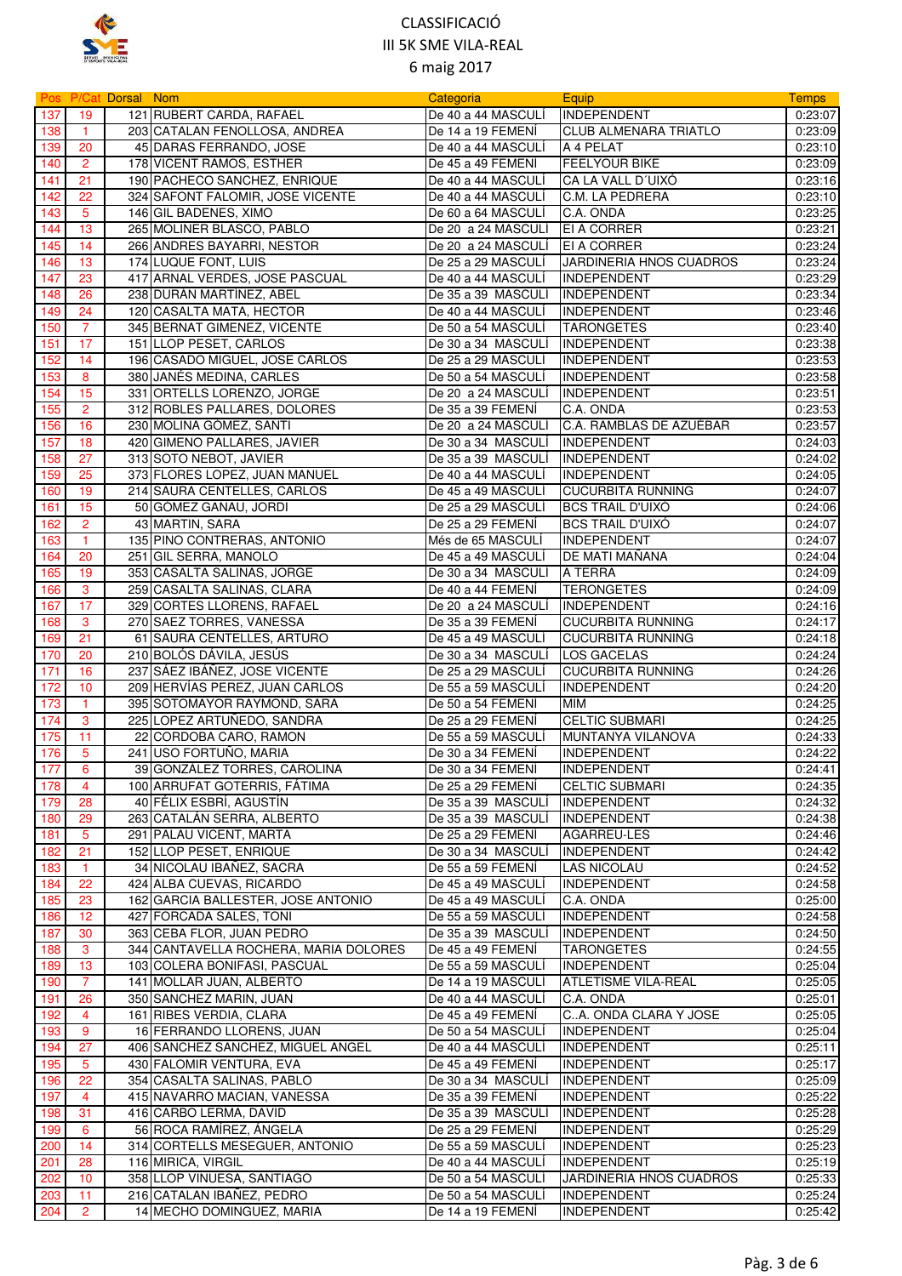

|            |                 | <b>Pos P/Cat Dorsal Nom</b> |                                                  | Categoria                                | Equip                                                | <b>Temps</b>       |
|------------|-----------------|-----------------------------|--------------------------------------------------|------------------------------------------|------------------------------------------------------|--------------------|
| 137        | 19              |                             | 121 RUBERT CARDA, RAFAEL                         | De 40 a 44 MASCULÍ                       | INDEPENDENT                                          | 0:23:07            |
| 138        | $\overline{1}$  |                             | 203 CATALAN FENOLLOSA, ANDREA                    | De 14 a 19 FEMENÍ                        | <b>I</b> CLUB ALMENARA TRIATLO                       | 0:23:09            |
| 139        | 20              |                             | 45 DARAS FERRANDO, JOSE                          | De 40 a 44 MASCULI                       | A 4 PELAT                                            | 0:23:10            |
| 140        | $\overline{2}$  |                             | 178 VICENT RAMOS, ESTHER                         | De 45 a 49 FEMENI                        | <b>FEELYOUR BIKE</b>                                 | 0:23:09            |
| 141        | 21              |                             | 190 PACHECO SANCHEZ, ENRIQUE                     | De 40 a 44 MASCULI                       | CA LA VALL D'UIXÓ                                    | 0:23:16            |
| 142        | 22              |                             | 324 SAFONT FALOMIR, JOSE VICENTE                 | De 40 a 44 MASCULI                       | <b>C.M. LA PEDRERA</b>                               | 0:23:10            |
| 143        | 5               |                             | 146 GIL BADENES, XIMO                            | De 60 a 64 MASCULI                       | C.A. ONDA                                            | 0:23:25            |
| 144        | 13              |                             | 265 MOLINER BLASCO, PABLO                        | De 20 a 24 MASCULI                       | <b>EI A CORRER</b>                                   | 0:23:21            |
| 145        | 14              |                             | 266 ANDRES BAYARRI, NESTOR                       | De 20 a 24 MASCULI                       | <b>EI A CORRER</b>                                   | 0:23:24            |
| 146        | 13              |                             | 174 LUQUE FONT, LUIS                             | De 25 a 29 MASCULI                       | JARDINERIA HNOS CUADROS                              | 0:23:24            |
| 147        | 23              |                             | 417 ARNAL VERDES, JOSE PASCUAL                   | De 40 a 44 MASCULI                       | <b>INDEPENDENT</b>                                   | 0:23:29            |
| 148        | 26              |                             | 238 DURÁN MARTÍNEZ, ABEL                         | De 35 a 39 MASCULÍ                       | INDEPENDENT                                          | 0:23:34            |
| 149        | 24              |                             | 120 CASALTA MATA, HECTOR                         | De 40 a 44 MASCULI                       | <b>INDEPENDENT</b>                                   | 0:23:46            |
| 150        | 7               |                             | 345 BERNAT GIMENEZ, VICENTE                      | De 50 a 54 MASCULI                       | <b>TARONGETES</b>                                    | 0:23:40            |
| 151        | 17              |                             | 151 LLOP PESET, CARLOS                           | De 30 a 34 MASCULI                       | <b>INDEPENDENT</b>                                   | 0:23:38            |
| 152        | 14              |                             | 196 CASADO MIGUEL, JOSE CARLOS                   | De 25 a 29 MASCULI                       | <b>INDEPENDENT</b>                                   | 0:23:53            |
| 153        | 8               |                             | 380 JANÉS MEDINA, CARLES                         | De 50 a 54 MASCULI                       | <b>INDEPENDENT</b>                                   | 0:23:58            |
| 154        | 15              |                             | 331 ORTELLS LORENZO, JORGE                       | De 20 a 24 MASCULI                       | <b>IINDEPENDENT</b>                                  | 0:23:51            |
| 155        | $\overline{2}$  |                             | 312 ROBLES PALLARES, DOLORES                     | De 35 a 39 FEMENÍ                        | C.A. ONDA                                            | 0:23:53            |
| 156        | 16              |                             | 230 MOLINA GÓMEZ, SANTI                          | De 20 a 24 MASCULÍ                       | C.A. RAMBLAS DE AZUÉBAR                              | 0:23:57            |
| 157        | 18              |                             | 420 GIMENO PALLARES, JAVIER                      | De 30 a 34 MASCULI                       | INDEPENDENT                                          | 0:24:03            |
| 158        | 27              |                             | 313 SOTO NEBOT, JAVIER                           | De 35 a 39 MASCULI                       | <b>INDEPENDENT</b>                                   | 0:24:02            |
| 159        | 25              |                             | 373 FLORES LOPEZ, JUAN MANUEL                    | De 40 a 44 MASCULI                       | INDEPENDENT                                          | 0:24:05            |
| 160        | 19              |                             | 214 SAURA CENTELLES, CARLOS                      | De 45 a 49 MASCULÍ                       | <b>CUCURBITA RUNNING</b>                             | 0:24:07            |
| 161        | 15              |                             | 50 GÓMEZ GANAU, JORDI                            | De 25 a 29 MASCULÍ                       | <b>BCS TRAIL D'UIXÓ</b>                              | 0:24:06            |
| 162        | $\overline{2}$  |                             | 43 MARTIN, SARA                                  | De 25 a 29 FEMENÍ                        | <b>BCS TRAIL D'UIXÓ</b>                              | 0:24:07            |
| 163        | $\mathbf{1}$    |                             | 135 PINO CONTRERAS, ANTONIO                      | Més de 65 MASCULI                        | <b>INDEPENDENT</b>                                   | 0:24:07            |
| 164        | 20              |                             | 251 GIL SERRA, MANOLO                            | De 45 a 49 MASCULI                       | DE MATI MAÑANA                                       | 0:24:04            |
| 165        | 19              |                             | 353 CASALTA SALINAS, JORGE                       | De 30 a 34 MASCULI                       | A TERRA                                              | 0:24:09            |
| 166        | 3               |                             | 259 CASALTA SALINAS, CLARA                       | De 40 a 44 FEMENI                        | <b>TERONGETES</b>                                    | 0:24:09            |
| 167        | 17              |                             | 329 CORTES LLORENS, RAFAEL                       | De 20 a 24 MASCULI                       | <b>INDEPENDENT</b>                                   | 0:24:16            |
| 168        | 3               |                             | 270 SAEZ TORRES, VANESSA                         | De 35 a 39 FEMENI                        | <b>CUCURBITA RUNNING</b>                             | 0:24:17            |
| 169        | 21              |                             | 61 SAURA CENTELLES, ARTURO                       | De 45 a 49 MASCULI                       | <b>CUCURBITA RUNNING</b>                             | 0:24:18            |
| 170        | 20              |                             | 210 BOLÓS DÁVILA, JESÚS                          | De 30 a 34 MASCULI                       | LOS GACELAS                                          | 0:24:24            |
| 171        | 16              |                             | 237 SÁEZ IBÁÑEZ, JOSE VICENTE                    | De 25 a 29 MASCULI                       | <b>CUCURBITA RUNNING</b>                             | 0:24:26            |
| 172        | 10              |                             | 209 HERVÍAS PEREZ, JUAN CARLOS                   | De 55 a 59 MASCULI                       | <b>INDEPENDENT</b>                                   | 0:24:20            |
| 173        | $\mathbf{1}$    |                             | 395 SOTOMAYOR RAYMOND, SARA                      | De 50 a 54 FEMENI                        | <b>MIM</b>                                           | 0:24:25            |
| 174        | 3               |                             | 225 LOPEZ ARTUÑEDO, SANDRA                       | De 25 a 29 FEMENI                        | <b>CELTIC SUBMARI</b>                                | 0:24:25            |
| 175        | 11              |                             | 22 CORDOBA CARO, RAMON                           | De 55 a 59 MASCULI                       | MUNTANYA VILANOVA                                    | 0:24:33            |
| 176        | 5               |                             | 241 USO FORTUÑO, MARIA                           | De 30 a 34 FEMENÍ                        | <b>INDEPENDENT</b>                                   | 0:24:22            |
| 177        | 6               |                             | 39 GONZÁLEZ TORRES, CAROLINA                     | De 30 a 34 FEMENÍ                        | INDEPENDENT                                          | 0:24:41            |
| 178        | 4               |                             | 100 ARRUFAT GOTERRIS, FATIMA                     | De 25 a 29 FEMENI                        | <b>CELTIC SUBMARI</b>                                | 0:24:35            |
| 179        | 28              |                             | 40 FÉLIX ESBRÍ, AGUSTIN                          | De 35 a 39 MASCULI                       | <b>INDEPENDENT</b>                                   | 0:24:32            |
| 180        | 29              |                             | 263 CATALÁN SERRA, ALBERTO                       | De 35 a 39 MASCULI                       | <b>INDEPENDENT</b>                                   | 0:24:38            |
| 181        | $5\phantom{.0}$ |                             | 291 PALAU VICENT, MARTA                          | De 25 a 29 FEMENÍ                        | AGARREU-LES                                          | 0:24:46            |
| 182        | 21              |                             | 152 LLOP PESET, ENRIQUE                          | De 30 a 34 MASCULI                       | <b>INDEPENDENT</b>                                   | 0:24:42            |
| 183        | $\mathbf{1}$    |                             | 34 NICOLAU IBAÑEZ, SACRA                         | De 55 a 59 FEMENI                        | <b>LAS NICOLAU</b>                                   | 0:24:52            |
| 184        | 22              |                             | 424 ALBA CUEVAS, RICARDO                         | De 45 a 49 MASCULI                       | <b>INDEPENDENT</b>                                   | 0:24:58            |
| 185        | 23              |                             | 162 GARCIA BALLESTER, JOSE ANTONIO               | De 45 a 49 MASCULI                       | C.A. ONDA                                            | 0:25:00            |
| 186        | 12              |                             | 427 FORCADA SALES, TONI                          | De 55 a 59 MASCULI                       | <b>INDEPENDENT</b>                                   | 0:24:58            |
| 187        | 30              |                             | 363 CEBA FLOR, JUAN PEDRO                        | De 35 a 39 MASCULÍ                       | <b>INDEPENDENT</b>                                   | 0:24:50            |
| 188        | 3               |                             | 344 CANTAVELLA ROCHERA, MARIA DOLORES            | De 45 a 49 FEMENI                        | <b>TARONGETES</b>                                    | 0:24:55            |
| 189        | 13              |                             | 103 COLERA BONIFASI, PASCUAL                     | De 55 a 59 MASCULI                       | <b>INDEPENDENT</b>                                   | 0:25:04            |
| 190        | $\overline{7}$  |                             | 141 MOLLAR JUAN, ALBERTO                         | De 14 a 19 MASCULI                       | <b>ATLETISME VILA-REAL</b>                           | 0:25:05            |
| 191        | 26              |                             | 350 SANCHEZ MARIN, JUAN                          | De 40 a 44 MASCULI                       | C.A. ONDA                                            | 0:25:01            |
| 192        | 4               |                             | 161 RIBES VERDIA, CLARA                          | De 45 a 49 FEMENI                        | CA. ONDA CLARA Y JOSE                                | 0:25:05            |
| 193        | 9               |                             | 16 FERRANDO LLORENS, JUAN                        | De 50 a 54 MASCULI                       | <b>INDEPENDENT</b>                                   | 0:25:04            |
| 194        | 27              |                             | 406 SANCHEZ SANCHEZ, MIGUEL ANGEL                | De 40 a 44 MASCULI                       | <b>INDEPENDENT</b>                                   | 0:25:11            |
| 195        | 5               |                             | 430 FALOMIR VENTURA, EVA                         | De 45 a 49 FEMENÍ                        | <b>INDEPENDENT</b>                                   | 0:25:17            |
| 196        | 22              |                             | 354 CASALTA SALINAS, PABLO                       | De 30 a 34 MASCULI                       | <b>INDEPENDENT</b>                                   | 0:25:09            |
| 197        | 4               |                             | 415 NAVARRO MACIAN, VANESSA                      | De 35 a 39 FEMENI                        | <b>INDEPENDENT</b>                                   | 0:25:22            |
| 198        | 31              |                             | 416 CARBO LERMA, DAVID                           | De 35 a 39 MASCULI                       | <b>INDEPENDENT</b>                                   | 0:25:28            |
| 199        | 6               |                             | 56 ROCA RAMÍREZ, ANGELA                          | De 25 a 29 FEMENI                        | <b>INDEPENDENT</b>                                   | 0:25:29            |
| 200        | 14              |                             | 314 CORTELLS MESEGUER, ANTONIO                   | De 55 a 59 MASCULI                       | <b>INDEPENDENT</b>                                   | 0:25:23            |
| 201<br>202 | 28<br>10        |                             | 116 MIRICA, VIRGIL<br>358 LLOP VINUESA, SANTIAGO | De 40 a 44 MASCULI<br>De 50 a 54 MASCULI | <b>INDEPENDENT</b><br><b>JARDINERIA HNOS CUADROS</b> | 0:25:19<br>0:25:33 |
| 203        | 11              |                             | 216 CATALAN IBAÑEZ, PEDRO                        | De 50 a 54 MASCULI                       | <b>INDEPENDENT</b>                                   | 0:25:24            |
| 204        | $\overline{2}$  |                             | 14 MECHO DOMINGUEZ, MARIA                        | De 14 a 19 FEMENI                        | INDEPENDENT                                          | 0:25:42            |
|            |                 |                             |                                                  |                                          |                                                      |                    |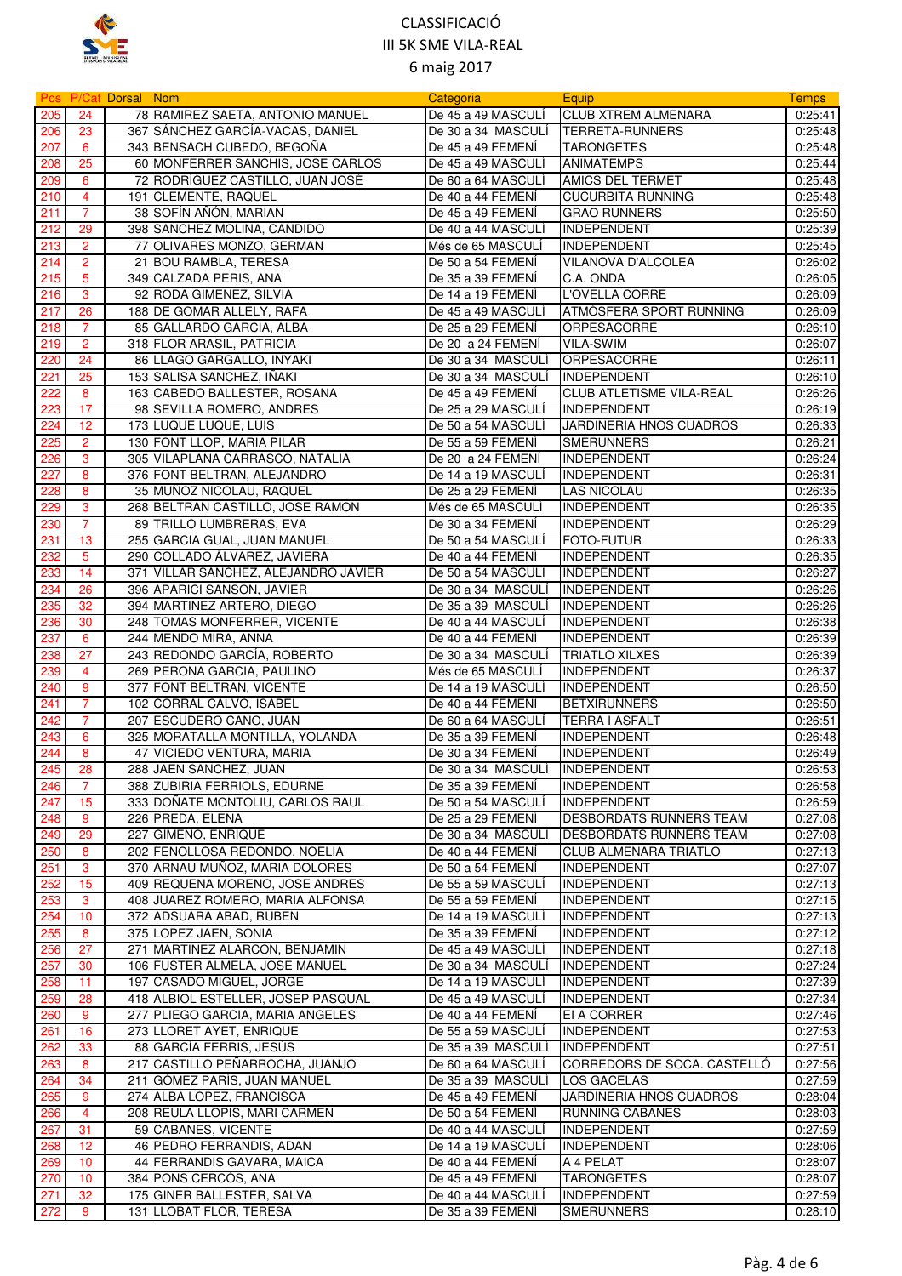

|     |                | <b>Pos P/Cat Dorsal Nom</b> |                                      | Categoria                        | Equip                           | <b>Temps</b> |
|-----|----------------|-----------------------------|--------------------------------------|----------------------------------|---------------------------------|--------------|
| 205 | 24             |                             | 78 RAMIREZ SAETA, ANTONIO MANUEL     | De 45 a 49 MASCULI               | <b>CLUB XTREM ALMENARA</b>      | 0:25:41      |
| 206 | 23             |                             | 367 SÁNCHEZ GARCÍA-VACAS, DANIEL     | De 30 a 34 MASCULÍ               | <b>ITERRETA-RUNNERS</b>         | 0:25:48      |
| 207 | 6              |                             | 343 BENSACH CUBEDO, BEGOÑA           | De 45 a 49 FEMENÍ                | <b>TARONGETES</b>               | 0:25:48      |
| 208 | 25             |                             | 60 MONFERRER SANCHIS, JOSE CARLOS    | De 45 a 49 MASCULI               | <b>ANIMATEMPS</b>               | 0:25:44      |
| 209 | 6              |                             | 72 RODRÍGUEZ CASTILLO, JUAN JOSÉ     | De 60 a 64 MASCULI               | <b>AMICS DEL TERMET</b>         | 0:25:48      |
| 210 | $\overline{4}$ |                             | 191 CLEMENTE, RAQUEL                 | De 40 a 44 FEMENI                | <b>CUCURBITA RUNNING</b>        | 0:25:48      |
| 211 | $\overline{7}$ |                             | 38 SOFÍN AÑÓN, MARIAN                | De 45 a 49 FEMENÍ                | <b>GRAO RUNNERS</b>             | 0:25:50      |
| 212 | 29             |                             | 398 SANCHEZ MOLINA, CANDIDO          | De 40 a 44 MASCULI               | <b>INDEPENDENT</b>              | 0:25:39      |
| 213 | $\overline{2}$ |                             | 77 OLIVARES MONZO, GERMAN            | Més de 65 MASCULI                | <b>INDEPENDENT</b>              | 0:25:45      |
| 214 | $\overline{2}$ |                             | 21 BOU RAMBLA, TERESA                | De 50 a 54 FEMENI                | VILANOVA D'ALCOLEA              | 0:26:02      |
| 215 | 5              |                             | 349 CALZADA PERIS, ANA               | De 35 a 39 FEMENI                | C.A. ONDA                       | 0:26:05      |
| 216 | 3              |                             | 92 RODA GIMENEZ, SILVIA              | De 14 a 19 FEMENÍ                | L'OVELLA CORRE                  | 0:26:09      |
| 217 | 26             |                             | 188 DE GOMAR ALLELY, RAFA            | De 45 a 49 MASCULI               | ATMÓSFERA SPORT RUNNING         | 0:26:09      |
| 218 | 7              |                             | 85 GALLARDO GARCIA, ALBA             | De 25 a 29 FEMENÍ                | ORPESACORRE                     | 0:26:10      |
| 219 | $\overline{2}$ |                             | 318 FLOR ARASIL, PATRICIA            | De 20 a 24 FEMENI                | <b>VILA-SWIM</b>                | 0:26:07      |
| 220 | 24             |                             | 86 LLAGO GARGALLO, INYAKI            | De 30 a 34 MASCULI               | <b>ORPESACORRE</b>              | 0:26:11      |
| 221 | 25             |                             | 153 SALISA SANCHEZ, IÑAKI            | De 30 a 34 MASCULI               | <b>INDEPENDENT</b>              | 0:26:10      |
| 222 | 8              |                             | 163 CABEDO BALLESTER, ROSANA         | De 45 a 49 FEMENÍ                | <b>CLUB ATLETISME VILA-REAL</b> | 0:26:26      |
| 223 | 17             |                             | 98 SEVILLA ROMERO, ANDRES            | De 25 a 29 MASCULI               | <b>INDEPENDENT</b>              | 0:26:19      |
| 224 | 12             |                             | 173 LUQUE LUQUE, LUIS                | De 50 a 54 MASCULI               | JARDINERIA HNOS CUADROS         | 0:26:33      |
| 225 | $\overline{2}$ |                             | 130 FONT LLOP, MARIA PILAR           | De 55 a 59 FEMENÍ                | <b>SMERUNNERS</b>               | 0:26:21      |
| 226 | 3              |                             | 305 VILAPLANA CARRASCO, NATALIA      | De 20 a 24 FEMENÍ                | <b>INDEPENDENT</b>              | 0:26:24      |
| 227 | 8              |                             | 376 FONT BELTRAN, ALEJANDRO          | De 14 a 19 MASCULI               | <b>INDEPENDENT</b>              | 0:26:31      |
| 228 | 8              |                             | 35 MUNOZ NICOLAU, RAQUEL             | De 25 a 29 FEMENI                | <b>LAS NICOLAU</b>              | 0:26:35      |
| 229 | 3              |                             | 268 BELTRAN CASTILLO, JOSE RAMON     | Més de 65 MASCULI                | INDEPENDENT                     | 0:26:35      |
| 230 | $\overline{7}$ |                             | 89 TRILLO LUMBRERAS, EVA             | De 30 a 34 FEMENI                | <b>INDEPENDENT</b>              | 0:26:29      |
| 231 | 13             |                             | 255 GARCIA GUAL, JUAN MANUEL         | De 50 a 54 MASCULI               | FOTO-FUTUR                      | 0:26:33      |
| 232 | 5              |                             | 290 COLLADO ÁLVAREZ, JAVIERA         | De 40 a 44 FEMENÍ                | <b>INDEPENDENT</b>              | 0:26:35      |
| 233 | 14             |                             | 371 VILLAR SANCHEZ, ALEJANDRO JAVIER | De 50 a 54 MASCULI               | <b>INDEPENDENT</b>              | 0:26:27      |
| 234 | 26             |                             | 396 APARICI SANSON, JAVIER           | De 30 a 34 MASCULI               | <b>INDEPENDENT</b>              | 0:26:26      |
| 235 | 32             |                             | 394 MARTINEZ ARTERO, DIEGO           | De 35 a 39 MASCULI               | <b>INDEPENDENT</b>              | 0:26:26      |
| 236 | 30             |                             | 248 TOMAS MONFERRER, VICENTE         | De 40 a 44 MASCULÍ               | INDEPENDENT                     | 0:26:38      |
| 237 | 6              |                             | 244 MENDO MIRA, ANNA                 | De 40 a 44 FEMENÍ                | <b>INDEPENDENT</b>              | 0:26:39      |
| 238 | 27             |                             | 243 REDONDO GARCÍA, ROBERTO          | De 30 a 34  MASCULI              | <b>TRIATLO XILXES</b>           | 0:26:39      |
| 239 | 4              |                             | 269 PERONA GARCIA, PAULINO           | Més de 65 MASCULI                | <b>INDEPENDENT</b>              | 0:26:37      |
| 240 | 9              |                             | 377 FONT BELTRAN, VICENTE            | De 14 a 19 MASCULI               | <b>INDEPENDENT</b>              | 0:26:50      |
| 241 | $\overline{7}$ |                             | 102 CORRAL CALVO, ISABEL             | De 40 a 44 FEMENÍ                | <b>BETXIRUNNERS</b>             | 0:26:50      |
| 242 | 7              |                             | 207 ESCUDERO CANO, JUAN              | De 60 a 64 MASCULI               | <b>TERRA I ASFALT</b>           | 0:26:51      |
| 243 | 6              |                             | 325 MORATALLA MONTILLA, YOLANDA      | De 35 a 39 FEMENI                | <b>INDEPENDENT</b>              | 0:26:48      |
| 244 | 8              |                             | 47 VICIEDO VENTURA, MARIA            | De 30 a 34 FEMENI                | <b>INDEPENDENT</b>              | 0:26:49      |
| 245 | 28             |                             | 288 JAEN SANCHEZ, JUAN               | De 30 a 34 MASCULÍ   INDEPENDENT |                                 | 0:26:53      |
| 246 | $\overline{7}$ |                             | 388 ZUBIRIA FERRIOLS, EDURNE         | De 35 a 39 FEMENI                | <b>INDEPENDENT</b>              | 0:26:58      |
| 247 | 15             |                             | 333 DOÑATE MONTOLIU, CARLOS RAUL     | De 50 a 54 MASCULÍ               | <b>INDEPENDENT</b>              | 0:26:59      |
| 248 | 9              |                             | 226 PREDA, ELENA                     | De 25 a 29 FEMENÍ                | <b>DESBORDATS RUNNERS TEAM</b>  | 0:27:08      |
| 249 | 29             |                             | 227 GIMENO, ENRIQUE                  | De 30 a 34 MASCULI               | <b>DESBORDATS RUNNERS TEAM</b>  | 0:27:08      |
| 250 | 8              |                             | 202 FENOLLOSA REDONDO, NOELIA        | De 40 a 44 FEMENI                | <b>CLUB ALMENARA TRIATLO</b>    | 0:27:13      |
| 251 | 3              |                             | 370 ARNAU MUÑOZ, MARIA DOLORES       | De 50 a 54 FEMENI                | <b>INDEPENDENT</b>              | 0:27:07      |
| 252 | 15             |                             | 409 REQUENA MORENO, JOSE ANDRES      | De 55 a 59 MASCULI               | <b>INDEPENDENT</b>              | 0:27:13      |
| 253 | 3              |                             | 408 JUAREZ ROMERO, MARIA ALFONSA     | De 55 a 59 FEMENI                | <b>INDEPENDENT</b>              | 0:27:15      |
| 254 | 10             |                             | 372 ADSUARA ABAD, RUBEN              | De 14 a 19 MASCULÍ               | <b>INDEPENDENT</b>              | 0:27:13      |
| 255 | 8              |                             | 375 LOPEZ JAEN, SONIA                | De 35 a 39 FEMENI                | <b>INDEPENDENT</b>              | 0:27:12      |
| 256 | 27             |                             | 271 MARTINEZ ALARCON, BENJAMIN       | De 45 a 49 MASCULI               | INDEPENDENT                     | 0:27:18      |
| 257 | 30             |                             | 106 FUSTER ALMELA, JOSE MANUEL       | De 30 a 34 MASCULI               | INDEPENDENT                     | 0:27:24      |
| 258 | 11             |                             | 197 CASADO MIGUEL, JORGE             | De 14 a 19 MASCULI               | <b>INDEPENDENT</b>              | 0:27:39      |
| 259 | 28             |                             | 418 ALBIOL ESTELLER, JOSEP PASQUAL   | De 45 a 49 MASCULI               | <b>INDEPENDENT</b>              | 0:27:34      |
| 260 | 9              |                             | 277 PLIEGO GARCIA, MARIA ANGELES     | De 40 a 44 FEMENI                | EI A CORRER                     | 0:27:46      |
| 261 | 16             |                             | 273 LLORET AYET, ENRIQUE             | De 55 a 59 MASCULI               | INDEPENDENT                     | 0:27:53      |
| 262 | 33             |                             | 88 GARCÍA FERRIS, JESÚS              | De 35 a 39 MASCULI               | <b>INDEPENDENT</b>              | 0:27:51      |
| 263 | 8              |                             | 217 CASTILLO PEÑARROCHA, JUANJO      | De 60 a 64 MASCULÍ               | CORREDORS DE SOCA. CASTELLO     | 0:27:56      |
| 264 | 34             |                             | 211 GÓMEZ PARÍS, JUAN MANUEL         | De 35 a 39 MASCULI               | <b>LOS GACELAS</b>              | 0:27:59      |
| 265 | 9              |                             | 274 ALBA LOPEZ, FRANCISCA            | De 45 a 49 FEMENI                | JARDINERIA HNOS CUADROS         | 0:28:04      |
| 266 | 4              |                             | 208 REULA LLOPIS, MARI CARMEN        | De 50 a 54 FEMENI                | <b>RUNNING CABANES</b>          | 0:28:03      |
| 267 | 31             |                             | 59 CABANES, VICENTE                  | De 40 a 44 MASCULI               | <b>INDEPENDENT</b>              | 0:27:59      |
| 268 | 12             |                             | 46 PEDRO FERRANDIS, ADAN             | De 14 a 19 MASCULI               | <b>INDEPENDENT</b>              | 0:28:06      |
| 269 | 10             |                             | 44 FERRANDIS GAVARA, MAICA           | De 40 a 44 FEMENI                | A 4 PELAT                       | 0:28:07      |
| 270 | 10             |                             | 384 PONS CERCÓS, ANA                 | De 45 a 49 FEMENI                | <b>TARONGETES</b>               | 0:28:07      |
| 271 | 32             |                             | 175 GINER BALLESTER, SALVA           | De 40 a 44 MASCULI               | INDEPENDENT                     | 0:27:59      |
| 272 | 9              |                             | 131 LLOBAT FLOR, TERESA              | De 35 a 39 FEMENÍ                | <b>SMERUNNERS</b>               | 0:28:10      |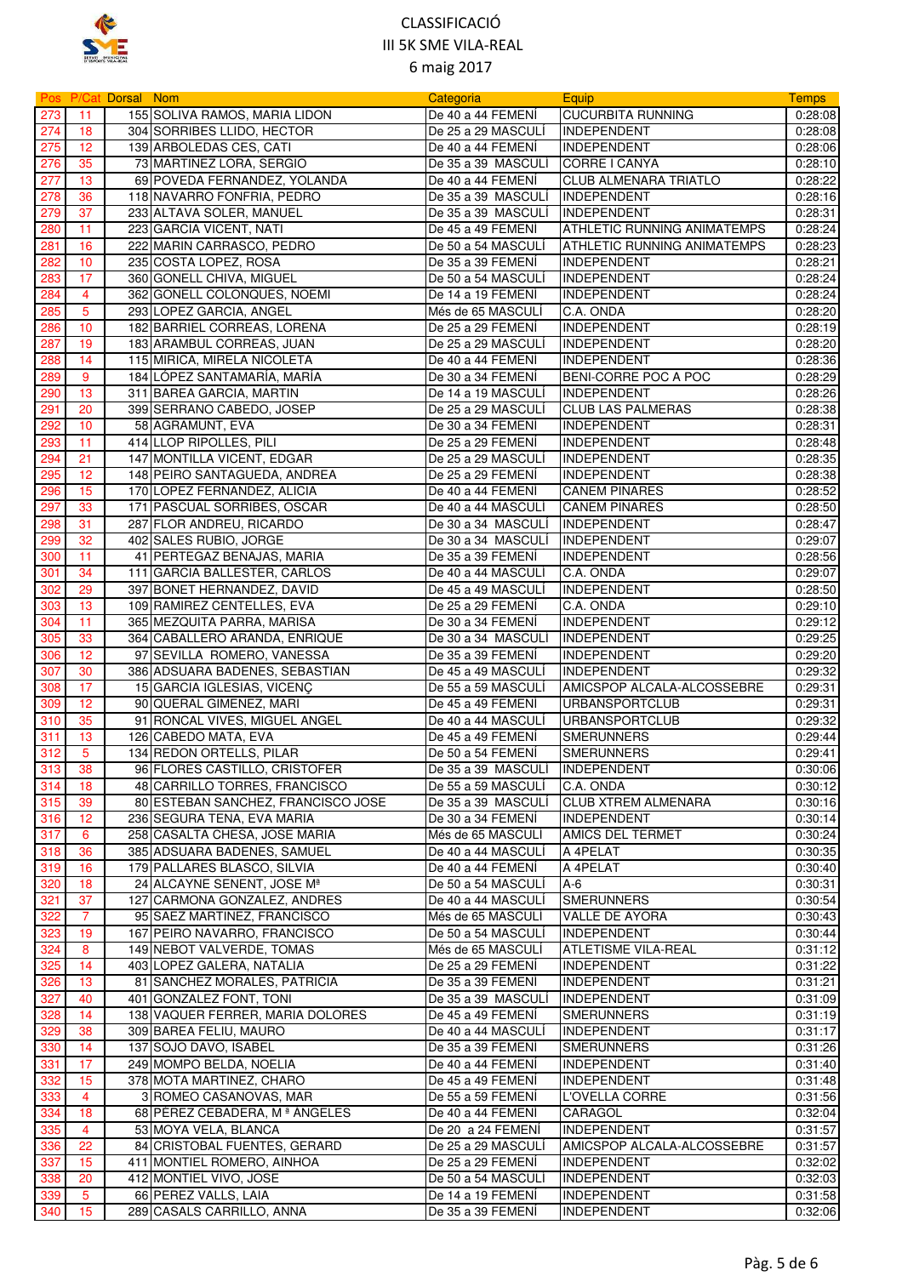

|            |                 | Pos P/Cat Dorsal Nom |                                                                     | Categoria                                | Equip                               | <b>Temps</b>       |
|------------|-----------------|----------------------|---------------------------------------------------------------------|------------------------------------------|-------------------------------------|--------------------|
| 273        | 11              |                      | 155 SOLIVA RAMOS, MARIA LIDON                                       | De 40 a 44 FEMENÍ                        | <b>CUCURBITA RUNNING</b>            | 0:28:08            |
| 274        | 18              |                      | 304 SORRIBES LLIDO, HECTOR                                          | De 25 a 29 MASCULI                       | INDEPENDENT                         | 0:28:08            |
| 275        | 12              |                      | 139 ARBOLEDAS CES, CATI                                             | De 40 a 44 FEMENÍ                        | <b>INDEPENDENT</b>                  | 0:28:06            |
| 276        | 35              |                      | 73 MARTINEZ LORA, SERGIO                                            | De 35 a 39 MASCULI                       | CORRE I CANYA                       | 0:28:10            |
| 277        | 13              |                      | 69 POVEDA FERNANDEZ, YOLANDA                                        | De 40 a 44 FEMENÍ                        | <b>CLUB ALMENARA TRIATLO</b>        | 0:28:22            |
| 278        | 36              |                      | 118 NAVARRO FONFRIA, PEDRO                                          | De 35 a 39 MASCULI                       | <b>INDEPENDENT</b>                  | 0:28:16            |
| 279        | 37              |                      | 233 ALTAVA SOLER, MANUEL                                            | De 35 a 39 MASCULI                       | <b>INDEPENDENT</b>                  | 0:28:31            |
| 280        | 11              |                      | 223 GARCIA VICENT, NATI                                             | De 45 a 49 FEMENÍ                        | ATHLETIC RUNNING ANIMATEMPS         | 0:28:24            |
| 281        | 16              |                      | 222 MARIN CARRASCO, PEDRO                                           | De 50 a 54 MASCULI                       | ATHLETIC RUNNING ANIMATEMPS         | 0:28:23            |
| 282        | 10              |                      | 235 COSTA LOPEZ, ROSA                                               | De 35 a 39 FEMENI                        | <b>INDEPENDENT</b>                  | 0:28:21            |
| 283        | 17              |                      | 360 GONELL CHIVA, MIGUEL                                            | De 50 a 54 MASCULI                       | <b>INDEPENDENT</b>                  | 0:28:24            |
| 284        | 4               |                      | 362 GONELL COLONQUES, NOEMI                                         | De 14 a 19 FEMENI                        | <b>INDEPENDENT</b>                  | 0:28:24            |
| 285        | 5               |                      | 293 LOPEZ GARCIA, ANGEL                                             | Més de 65 MASCULI                        | C.A. ONDA                           | 0:28:20            |
| 286        | 10              |                      | 182 BARRIEL CORREAS, LORENA                                         | De 25 a 29 FEMENI                        | <b>INDEPENDENT</b>                  | 0:28:19            |
| 287        | 19              |                      | 183 ARAMBUL CORREAS, JUAN                                           | De 25 a 29 MASCULI                       | <b>INDEPENDENT</b>                  | 0:28:20            |
| 288        | 14              |                      | 115 MIRICA, MIRELA NICOLETA                                         | De 40 a 44 FEMENÍ                        | <b>INDEPENDENT</b>                  | 0:28:36            |
| 289        | 9               |                      | 184 LÓPEZ SANTAMARÍA, MARÍA                                         | De 30 a 34 FEMENI                        | BENI-CORRE POC A POC                | 0:28:29            |
| 290        | 13              |                      | 311 BAREA GARCIA, MARTIN                                            | De 14 a 19 MASCULI                       | <b>INDEPENDENT</b>                  | 0:28:26            |
| 291        | 20              |                      | 399 SERRANO CABEDO, JOSEP                                           | De 25 a 29 MASCULI                       | <b>CLUB LAS PALMERAS</b>            | 0:28:38            |
| 292        | 10              |                      | 58 AGRAMUNT, EVA                                                    | De 30 a 34 FEMENI                        | <b>INDEPENDENT</b>                  | 0:28:31            |
| 293        | 11              |                      | 414 LLOP RIPOLLES, PILI                                             | De 25 a 29 FEMENÍ                        | <b>INDEPENDENT</b>                  | 0:28:48            |
| 294        | 21              |                      | 147 MONTILLA VICENT, EDGAR                                          | De 25 a 29 MASCULI                       | <b>INDEPENDENT</b>                  | 0:28:35            |
| 295        | 12              |                      | 148 PEIRO SANTAGUEDA, ANDREA                                        | De 25 a 29 FEMENÍ                        | <b>INDEPENDENT</b>                  | 0:28:38            |
| 296        | 15              |                      | 170 LOPEZ FERNANDEZ, ALICIA                                         | De 40 a 44 FEMENÍ                        | <b>CANEM PINARES</b>                | 0:28:52            |
| 297        | 33              |                      | 171 PASCUAL SORRIBES, OSCAR                                         | De 40 a 44 MASCULI                       | <b>CANEM PINARES</b>                | 0:28:50            |
| 298        | 31              |                      | 287 FLOR ANDREU, RICARDO                                            | De 30 a 34 MASCULI                       | <b>INDEPENDENT</b>                  | 0:28:47            |
| 299        | 32              |                      | 402 SALES RUBIO, JORGE                                              | De 30 a 34 MASCULI                       | <b>INDEPENDENT</b>                  | 0:29:07            |
| 300        | 11              |                      | 41 PERTEGAZ BENAJAS, MARIA                                          | De 35 a 39 FEMENÍ                        | <b>INDEPENDENT</b>                  | 0:28:56            |
| 301        | 34              |                      | 111 GARCIA BALLESTER, CARLOS                                        | De 40 a 44 MASCULI                       | C.A. ONDA                           | 0:29:07            |
| 302        | 29              |                      | 397 BONET HERNANDEZ, DAVID                                          | De 45 a 49 MASCULI                       | <b>INDEPENDENT</b>                  | 0:28:50            |
| 303        | 13              |                      | 109 RAMIREZ CENTELLES, EVA                                          | De 25 a 29 FEMENI                        | C.A. ONDA                           | 0:29:10            |
| 304        | 11              |                      | 365 MEZQUITA PARRA, MARISA                                          | De 30 a 34 FEMENI                        | <b>INDEPENDENT</b>                  | 0:29:12            |
| 305        | 33              |                      | 364 CABALLERO ARANDA, ENRIQUE                                       | De 30 a 34 MASCULI                       | INDEPENDENT                         | 0:29:25            |
| 306        | 12              |                      | 97 SEVILLA ROMERO, VANESSA                                          | De 35 a 39 FEMENI                        | <b>INDEPENDENT</b>                  | 0:29:20            |
| 307        | 30              |                      | 386 ADSUARA BADENES, SEBASTIAN                                      | De 45 a 49 MASCULI                       | <b>INDEPENDENT</b>                  | 0:29:32            |
| 308        | 17              |                      | 15 GARCIA IGLESIAS, VICENÇ                                          | De 55 a 59 MASCULI                       | AMICSPOP ALCALA-ALCOSSEBRE          | 0:29:31            |
| 309        | 12              |                      | 90 QUERAL GIMENEZ, MARI                                             | De 45 a 49 FEMENI                        | <b>URBANSPORTCLUB</b>               | 0:29:31            |
| 310        | 35              |                      | 91 RONCAL VIVES, MIGUEL ANGEL                                       | De 40 a 44 MASCULI                       | <b>URBANSPORTCLUB</b>               | 0:29:32            |
| 311        | 13              |                      | 126 CABEDO MATA, EVA                                                | De 45 a 49 FEMENI                        | <b>SMERUNNERS</b>                   | 0:29:44            |
| 312        | $5\phantom{.0}$ |                      | 134 REDON ORTELLS, PILAR                                            | De 50 a 54 FEMENI                        | <b>SMERUNNERS</b>                   | 0:29:41            |
| 313        | 38              |                      | 96 FLORES CASTILLO, CRISTOFER                                       | De 35 a 39 MASCULÍ   INDEPENDENT         |                                     | 0:30:06            |
| 314        | 18              |                      | 48 CARRILLO TORRES, FRANCISCO<br>80 ESTEBAN SANCHEZ, FRANCISCO JOSE | De 55 a 59 MASCULI<br>De 35 a 39 MASCULÍ | C.A. ONDA                           | 0:30:12            |
| 315        | 39              |                      |                                                                     | De 30 a 34 FEMENÍ                        | <b>CLUB XTREM ALMENARA</b>          | 0:30:16            |
| 316        | 12<br>6         |                      | 236 SEGURA TENA, EVA MARIA<br>258 CASALTA CHESA, JOSE MARIA         |                                          | <b>INDEPENDENT</b>                  | 0:30:14<br>0:30:24 |
| 317        | 36              |                      | 385 ADSUARA BADENES, SAMUEL                                         | Més de 65 MASCULI<br>De 40 a 44 MASCULÍ  | <b>AMICS DEL TERMET</b><br>A 4PELAT | 0:30:35            |
| 318<br>319 | 16              |                      | 179 PALLARES BLASCO, SILVIA                                         | De 40 a 44 FEMENÍ                        | A 4PELAT                            | 0:30:40            |
|            | 18              |                      | 24 ALCAYNE SENENT, JOSE Mª                                          | De 50 a 54 MASCULÍ                       |                                     | 0:30:31            |
| 320<br>321 | 37              |                      | 127 CARMONA GONZALEZ, ANDRES                                        | De 40 a 44 MASCULÍ                       | A-6<br><b>SMERUNNERS</b>            | 0:30:54            |
| 322        | $\overline{7}$  |                      | 95 SAEZ MARTINEZ, FRANCISCO                                         | Més de 65 MASCULI                        | <b>VALLE DE AYORA</b>               | 0:30:43            |
| 323        | 19              |                      | 167 PEIRO NAVARRO, FRANCISCO                                        | De 50 a 54 MASCULI                       | <b>INDEPENDENT</b>                  | 0:30:44            |
| 324        | 8               |                      | 149 NEBOT VALVERDE, TOMAS                                           | Més de 65 MASCULI                        | <b>ATLETISME VILA-REAL</b>          | 0:31:12            |
| 325        | 14              |                      | 403 LOPEZ GALERA, NATALIA                                           | De 25 a 29 FEMENÍ                        | <b>INDEPENDENT</b>                  | 0:31:22            |
| 326        | 13              |                      | 81 SANCHEZ MORALES, PATRICIA                                        | De 35 a 39 FEMENI                        | <b>INDEPENDENT</b>                  | 0:31:21            |
| 327        | 40              |                      | 401 GONZALEZ FONT, TONI                                             | De 35 a 39 MASCULI                       | <b>INDEPENDENT</b>                  | 0:31:09            |
| 328        | 14              |                      | 138 VAQUER FERRER, MARIA DOLORES                                    | De 45 a 49 FEMENI                        | <b>SMERUNNERS</b>                   | 0:31:19            |
| 329        | 38              |                      | 309 BAREA FELIU, MAURO                                              | De 40 a 44 MASCULI                       | INDEPENDENT                         | 0:31:17            |
| 330        | 14              |                      | 137 SOJO DAVO, ISABEL                                               | De 35 a 39 FEMENÍ                        | <b>SMERUNNERS</b>                   | 0:31:26            |
| 331        | 17              |                      | 249 MOMPO BELDA, NOELIA                                             | De 40 a 44 FEMENI                        | <b>INDEPENDENT</b>                  | 0:31:40            |
| 332        | 15              |                      | 378 MOTA MARTINEZ, CHARO                                            | De 45 a 49 FEMENI                        | <b>INDEPENDENT</b>                  | 0:31:48            |
| 333        | 4               |                      | 3 ROMEO CASANOVAS, MAR                                              | De 55 a 59 FEMENI                        | L'OVELLA CORRE                      | 0:31:56            |
| 334        | 18              |                      | 68 PEREZ CEBADERA, Mª ANGELES                                       | De 40 a 44 FEMENI                        | CARAGOL                             | 0:32:04            |
| 335        | 4               |                      | 53 MOYA VELA, BLANCA                                                | De 20 a 24 FEMENI                        | <b>INDEPENDENT</b>                  | 0:31:57            |
| 336        | 22              |                      | 84 CRISTOBAL FUENTES, GERARD                                        | De 25 a 29 MASCULI                       | AMICSPOP ALCALA-ALCOSSEBRE          | 0:31:57            |
| 337        | 15              |                      | 411 MONTIEL ROMERO, AINHOA                                          | De 25 a 29 FEMENI                        | <b>INDEPENDENT</b>                  | 0:32:02            |
| 338        | 20              |                      | 412 MONTIEL VIVO, JOSE                                              | De 50 a 54 MASCULI                       | <b>INDEPENDENT</b>                  | 0:32:03            |
| 339        | $5\phantom{.0}$ |                      | 66 PEREZ VALLS, LAIA                                                | De 14 a 19 FEMENI                        | <b>INDEPENDENT</b>                  | 0:31:58            |
| 340        | 15              |                      | 289 CASALS CARRILLO, ANNA                                           | De 35 a 39 FEMENI                        | <b>INDEPENDENT</b>                  | 0:32:06            |